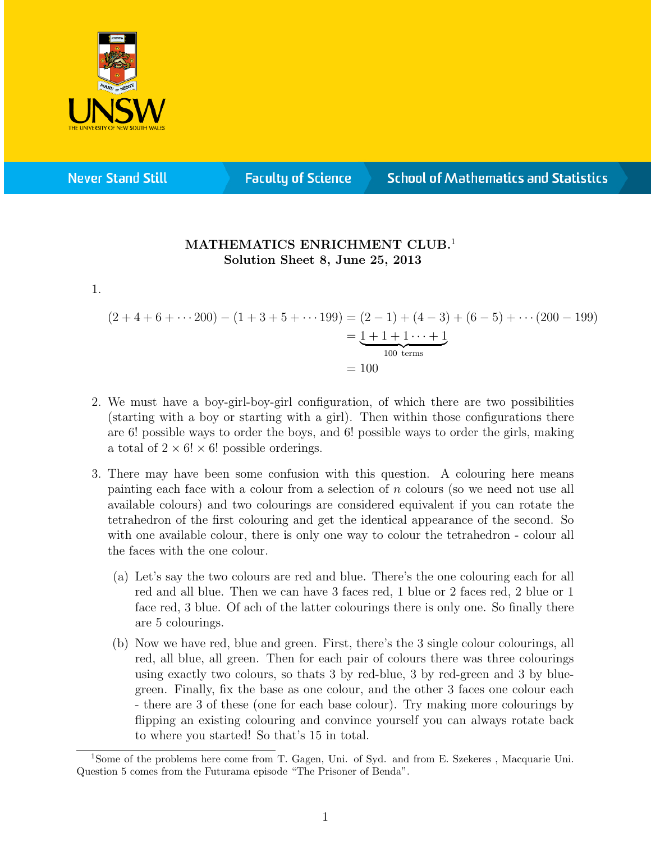

**Never Stand Still** 

**Faculty of Science** 

**School of Mathematics and Statistics** 

## MATHEMATICS ENRICHMENT CLUB.<sup>1</sup> Solution Sheet 8, June 25, 2013

1.

 $(2+4+6+\cdots 200) - (1+3+5+\cdots 199) = (2-1) + (4-3) + (6-5) + \cdots (200-199)$  $= 1 + 1 + 1 \cdots + 1$  $100$  terms  $= 100$ 

- 2. We must have a boy-girl-boy-girl configuration, of which there are two possibilities (starting with a boy or starting with a girl). Then within those configurations there are 6! possible ways to order the boys, and 6! possible ways to order the girls, making a total of  $2 \times 6! \times 6!$  possible orderings.
- 3. There may have been some confusion with this question. A colouring here means painting each face with a colour from a selection of  $n$  colours (so we need not use all available colours) and two colourings are considered equivalent if you can rotate the tetrahedron of the first colouring and get the identical appearance of the second. So with one available colour, there is only one way to colour the tetrahedron - colour all the faces with the one colour.
	- (a) Let's say the two colours are red and blue. There's the one colouring each for all red and all blue. Then we can have 3 faces red, 1 blue or 2 faces red, 2 blue or 1 face red, 3 blue. Of ach of the latter colourings there is only one. So finally there are 5 colourings.
	- (b) Now we have red, blue and green. First, there's the 3 single colour colourings, all red, all blue, all green. Then for each pair of colours there was three colourings using exactly two colours, so thats 3 by red-blue, 3 by red-green and 3 by bluegreen. Finally, fix the base as one colour, and the other 3 faces one colour each - there are 3 of these (one for each base colour). Try making more colourings by flipping an existing colouring and convince yourself you can always rotate back to where you started! So that's 15 in total.

<sup>1</sup>Some of the problems here come from T. Gagen, Uni. of Syd. and from E. Szekeres , Macquarie Uni. Question 5 comes from the Futurama episode "The Prisoner of Benda".